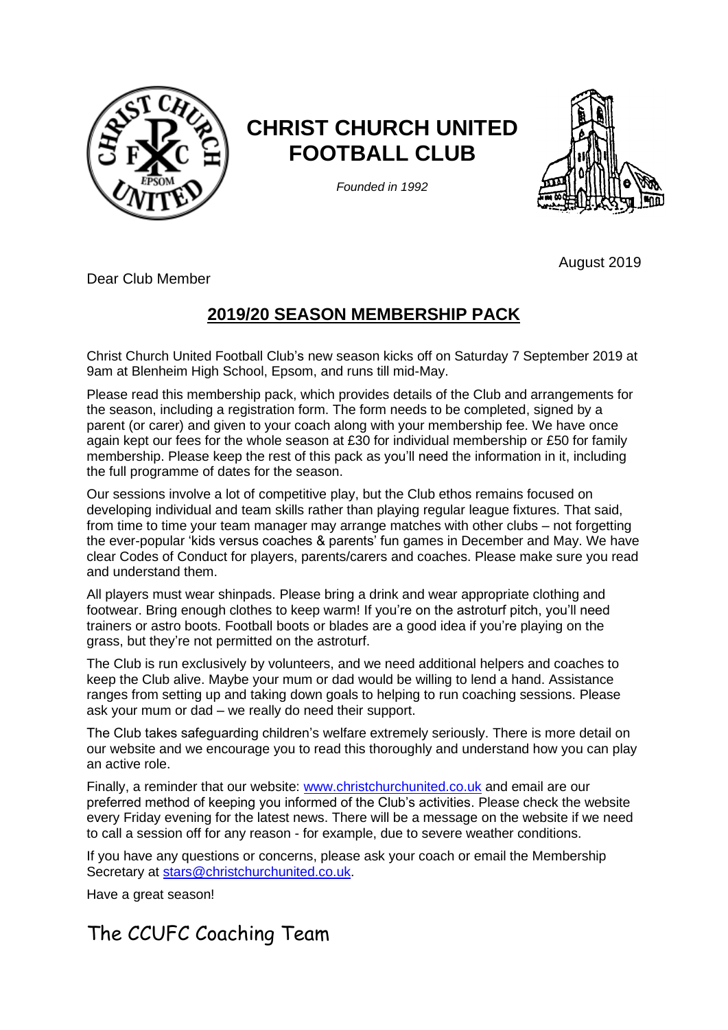

# **CHRIST CHURCH UNITED FOOTBALL CLUB**

*Founded in 1992*



August 2019

Dear Club Member

## **2019/20 SEASON MEMBERSHIP PACK**

Christ Church United Football Club's new season kicks off on Saturday 7 September 2019 at 9am at Blenheim High School, Epsom, and runs till mid-May.

Please read this membership pack, which provides details of the Club and arrangements for the season, including a registration form. The form needs to be completed, signed by a parent (or carer) and given to your coach along with your membership fee. We have once again kept our fees for the whole season at £30 for individual membership or £50 for family membership. Please keep the rest of this pack as you'll need the information in it, including the full programme of dates for the season.

Our sessions involve a lot of competitive play, but the Club ethos remains focused on developing individual and team skills rather than playing regular league fixtures. That said, from time to time your team manager may arrange matches with other clubs – not forgetting the ever-popular 'kids versus coaches & parents' fun games in December and May. We have clear Codes of Conduct for players, parents/carers and coaches. Please make sure you read and understand them.

All players must wear shinpads. Please bring a drink and wear appropriate clothing and footwear. Bring enough clothes to keep warm! If you're on the astroturf pitch, you'll need trainers or astro boots. Football boots or blades are a good idea if you're playing on the grass, but they're not permitted on the astroturf.

The Club is run exclusively by volunteers, and we need additional helpers and coaches to keep the Club alive. Maybe your mum or dad would be willing to lend a hand. Assistance ranges from setting up and taking down goals to helping to run coaching sessions. Please ask your mum or dad – we really do need their support.

The Club takes safeguarding children's welfare extremely seriously. There is more detail on our website and we encourage you to read this thoroughly and understand how you can play an active role.

Finally, a reminder that our website: [www.christchurchunited.co.uk](http://www.christchurchunited.co.uk/) and email are our preferred method of keeping you informed of the Club's activities. Please check the website every Friday evening for the latest news. There will be a message on the website if we need to call a session off for any reason - for example, due to severe weather conditions.

If you have any questions or concerns, please ask your coach or email the Membership Secretary at [stars@christchurchunited.co.uk.](mailto:stars@christchurchunited.co.uk)

Have a great season!

## The CCUFC Coaching Team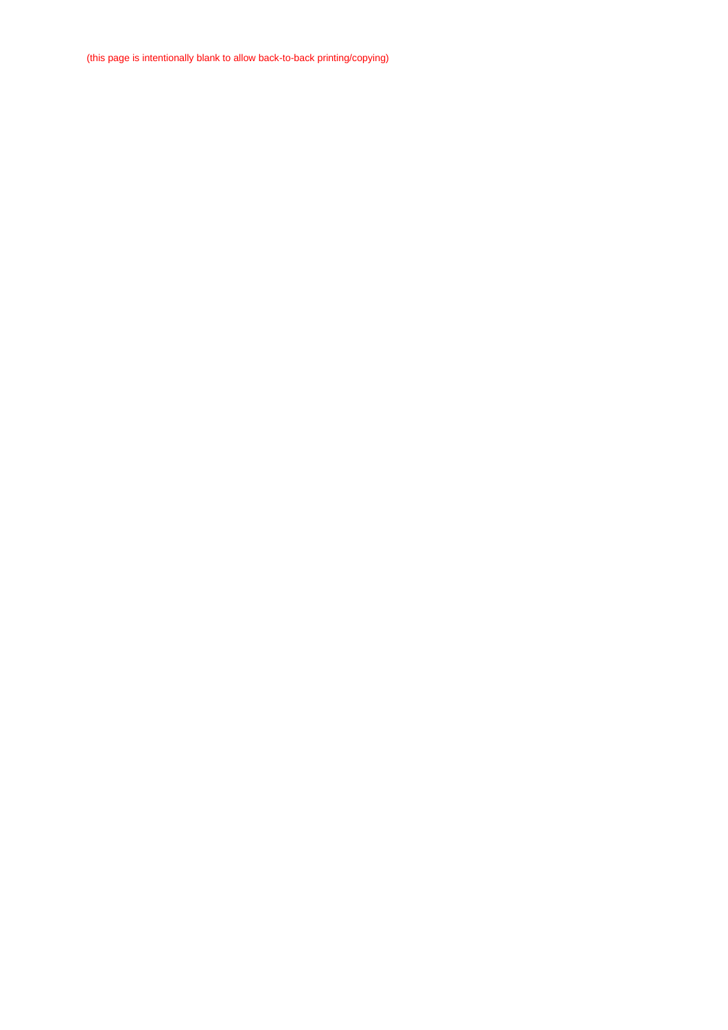(this page is intentionally blank to allow back-to-back printing/copying)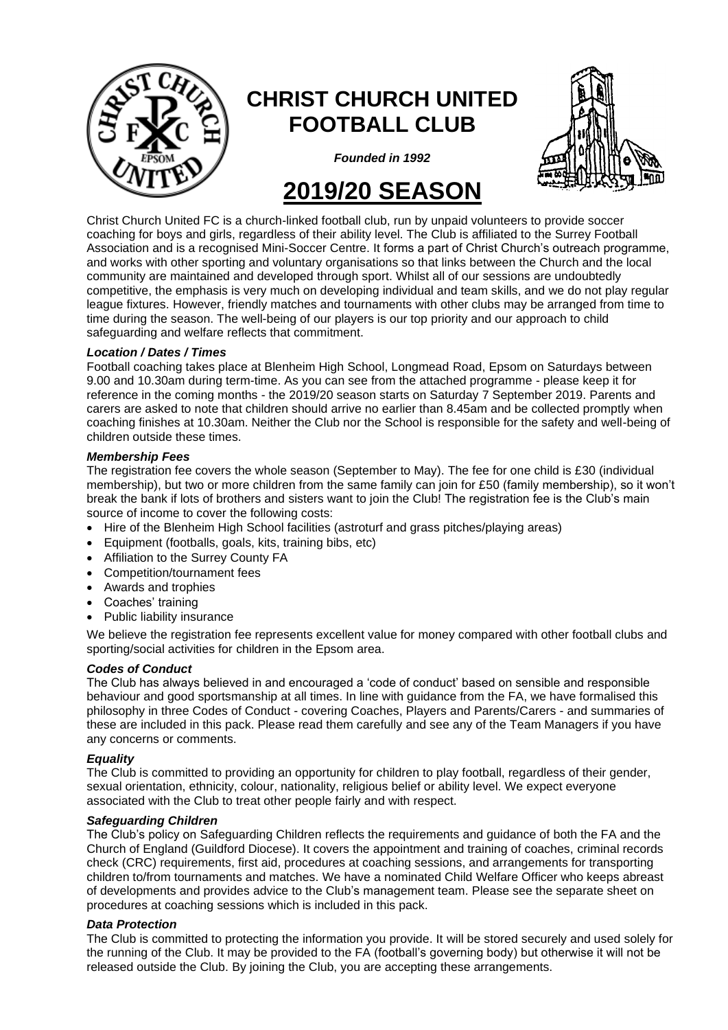

# **CHRIST CHURCH UNITED FOOTBALL CLUB**



*Founded in 1992*

# **2019/20 SEASON**

Christ Church United FC is a church-linked football club, run by unpaid volunteers to provide soccer coaching for boys and girls, regardless of their ability level. The Club is affiliated to the Surrey Football Association and is a recognised Mini-Soccer Centre. It forms a part of Christ Church's outreach programme, and works with other sporting and voluntary organisations so that links between the Church and the local community are maintained and developed through sport. Whilst all of our sessions are undoubtedly competitive, the emphasis is very much on developing individual and team skills, and we do not play regular league fixtures. However, friendly matches and tournaments with other clubs may be arranged from time to time during the season. The well-being of our players is our top priority and our approach to child safeguarding and welfare reflects that commitment.

#### *Location / Dates / Times*

Football coaching takes place at Blenheim High School, Longmead Road, Epsom on Saturdays between 9.00 and 10.30am during term-time. As you can see from the attached programme - please keep it for reference in the coming months - the 2019/20 season starts on Saturday 7 September 2019. Parents and carers are asked to note that children should arrive no earlier than 8.45am and be collected promptly when coaching finishes at 10.30am. Neither the Club nor the School is responsible for the safety and well-being of children outside these times.

#### *Membership Fees*

The registration fee covers the whole season (September to May). The fee for one child is £30 (individual membership), but two or more children from the same family can join for £50 (family membership), so it won't break the bank if lots of brothers and sisters want to join the Club! The registration fee is the Club's main source of income to cover the following costs:

- Hire of the Blenheim High School facilities (astroturf and grass pitches/playing areas)
- Equipment (footballs, goals, kits, training bibs, etc)
- Affiliation to the Surrey County FA
- Competition/tournament fees
- Awards and trophies
- Coaches' training
- Public liability insurance

We believe the registration fee represents excellent value for money compared with other football clubs and sporting/social activities for children in the Epsom area.

#### *Codes of Conduct*

The Club has always believed in and encouraged a 'code of conduct' based on sensible and responsible behaviour and good sportsmanship at all times. In line with guidance from the FA, we have formalised this philosophy in three Codes of Conduct - covering Coaches, Players and Parents/Carers - and summaries of these are included in this pack. Please read them carefully and see any of the Team Managers if you have any concerns or comments.

#### *Equality*

The Club is committed to providing an opportunity for children to play football, regardless of their gender, sexual orientation, ethnicity, colour, nationality, religious belief or ability level. We expect everyone associated with the Club to treat other people fairly and with respect.

#### *Safeguarding Children*

The Club's policy on Safeguarding Children reflects the requirements and guidance of both the FA and the Church of England (Guildford Diocese). It covers the appointment and training of coaches, criminal records check (CRC) requirements, first aid, procedures at coaching sessions, and arrangements for transporting children to/from tournaments and matches. We have a nominated Child Welfare Officer who keeps abreast of developments and provides advice to the Club's management team. Please see the separate sheet on procedures at coaching sessions which is included in this pack.

#### *Data Protection*

The Club is committed to protecting the information you provide. It will be stored securely and used solely for the running of the Club. It may be provided to the FA (football's governing body) but otherwise it will not be released outside the Club. By joining the Club, you are accepting these arrangements.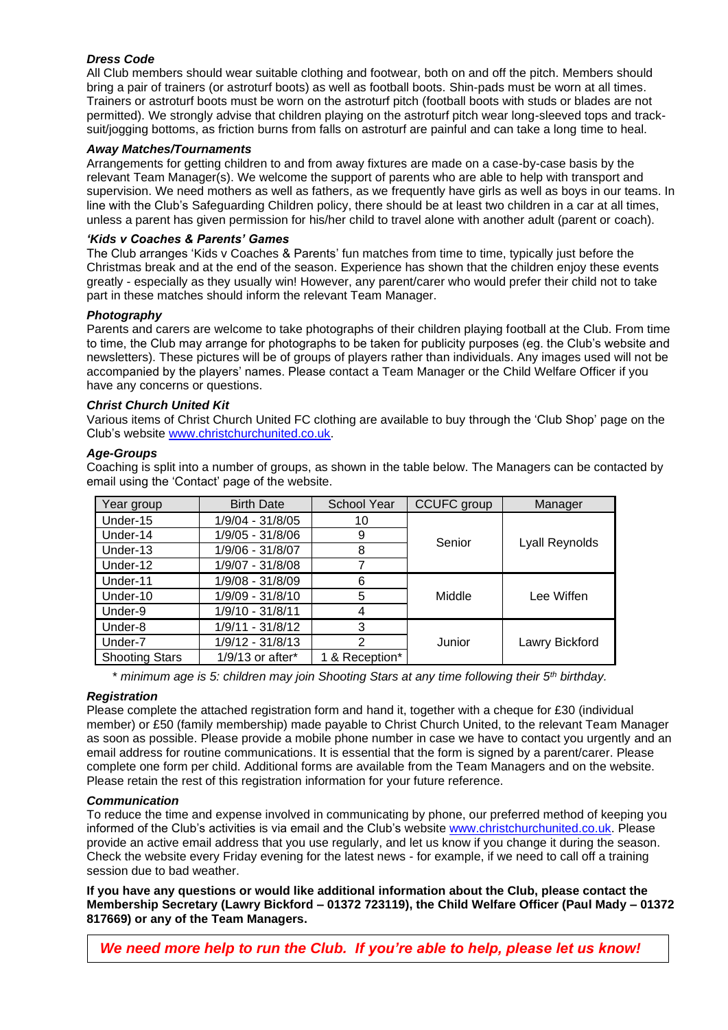#### *Dress Code*

All Club members should wear suitable clothing and footwear, both on and off the pitch. Members should bring a pair of trainers (or astroturf boots) as well as football boots. Shin-pads must be worn at all times. Trainers or astroturf boots must be worn on the astroturf pitch (football boots with studs or blades are not permitted). We strongly advise that children playing on the astroturf pitch wear long-sleeved tops and tracksuit/jogging bottoms, as friction burns from falls on astroturf are painful and can take a long time to heal.

#### *Away Matches/Tournaments*

Arrangements for getting children to and from away fixtures are made on a case-by-case basis by the relevant Team Manager(s). We welcome the support of parents who are able to help with transport and supervision. We need mothers as well as fathers, as we frequently have girls as well as boys in our teams. In line with the Club's Safeguarding Children policy, there should be at least two children in a car at all times, unless a parent has given permission for his/her child to travel alone with another adult (parent or coach).

#### *'Kids v Coaches & Parents' Games*

The Club arranges 'Kids v Coaches & Parents' fun matches from time to time, typically just before the Christmas break and at the end of the season. Experience has shown that the children enjoy these events greatly - especially as they usually win! However, any parent/carer who would prefer their child not to take part in these matches should inform the relevant Team Manager.

#### *Photography*

Parents and carers are welcome to take photographs of their children playing football at the Club. From time to time, the Club may arrange for photographs to be taken for publicity purposes (eg. the Club's website and newsletters). These pictures will be of groups of players rather than individuals. Any images used will not be accompanied by the players' names. Please contact a Team Manager or the Child Welfare Officer if you have any concerns or questions.

#### *Christ Church United Kit*

Various items of Christ Church United FC clothing are available to buy through the 'Club Shop' page on the Club's website [www.christchurchunited.co.uk.](http://www.christchurchunited.co.uk/)

#### *Age-Groups*

Coaching is split into a number of groups, as shown in the table below. The Managers can be contacted by email using the 'Contact' page of the website.

| Year group            | <b>Birth Date</b>  | <b>School Year</b> | <b>CCUFC</b> group | Manager        |
|-----------------------|--------------------|--------------------|--------------------|----------------|
| Under-15              | 1/9/04 - 31/8/05   | 10                 |                    |                |
| Under-14              | 1/9/05 - 31/8/06   | 9                  | Senior             |                |
| Under-13              | 1/9/06 - 31/8/07   | 8                  | Lyall Reynolds     |                |
| Under-12              | 1/9/07 - 31/8/08   | 7                  |                    |                |
| Under-11              | 1/9/08 - 31/8/09   | 6                  |                    |                |
| Under-10              | 1/9/09 - 31/8/10   | 5                  | Middle             | Lee Wiffen     |
| Under-9               | 1/9/10 - 31/8/11   | 4                  |                    |                |
| Under-8               | 1/9/11 - 31/8/12   | 3                  |                    |                |
| Under-7               | 1/9/12 - 31/8/13   | $\overline{2}$     | Junior             | Lawry Bickford |
| <b>Shooting Stars</b> | $1/9/13$ or after* | 1 & Reception*     |                    |                |

\* *minimum age is 5: children may join Shooting Stars at any time following their 5th birthday.*

#### *Registration*

Please complete the attached registration form and hand it, together with a cheque for £30 (individual member) or £50 (family membership) made payable to Christ Church United, to the relevant Team Manager as soon as possible. Please provide a mobile phone number in case we have to contact you urgently and an email address for routine communications. It is essential that the form is signed by a parent/carer. Please complete one form per child. Additional forms are available from the Team Managers and on the website. Please retain the rest of this registration information for your future reference.

#### *Communication*

To reduce the time and expense involved in communicating by phone, our preferred method of keeping you informed of the Club's activities is via email and the Club's website [www.christchurchunited.co.uk.](http://www.christchurchunited.co.uk/) Please provide an active email address that you use regularly, and let us know if you change it during the season. Check the website every Friday evening for the latest news - for example, if we need to call off a training session due to bad weather.

**If you have any questions or would like additional information about the Club, please contact the Membership Secretary (Lawry Bickford – 01372 723119), the Child Welfare Officer (Paul Mady – 01372 817669) or any of the Team Managers.**

*We need more help to run the Club. If you're able to help, please let us know!*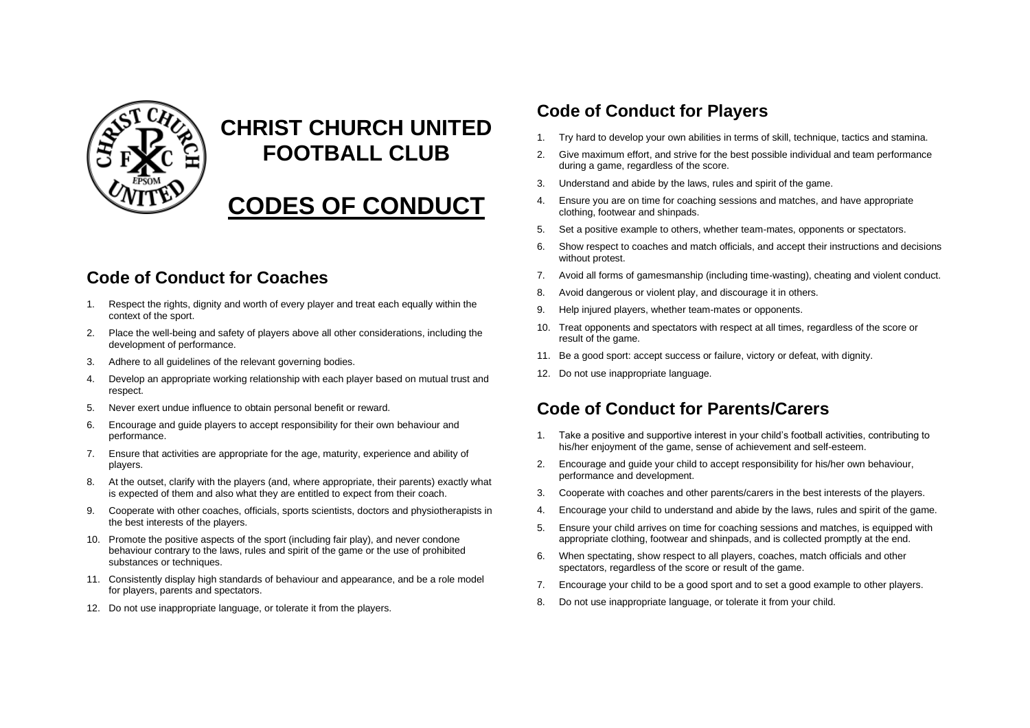

# **CHRIST CHURCH UNITED FOOTBALL CLUB**

# **CODES OF CONDUCT**

## **Code of Conduct for Coaches**

- 1. Respect the rights, dignity and worth of every player and treat each equally within the context of the sport.
- 2. Place the well-being and safety of players above all other considerations, including the development of performance.
- 3. Adhere to all guidelines of the relevant governing bodies.
- 4. Develop an appropriate working relationship with each player based on mutual trust and respect.
- 5. Never exert undue influence to obtain personal benefit or reward.
- 6. Encourage and guide players to accept responsibility for their own behaviour and performance.
- 7. Ensure that activities are appropriate for the age, maturity, experience and ability of players.
- 8. At the outset, clarify with the players (and, where appropriate, their parents) exactly what is expected of them and also what they are entitled to expect from their coach.
- 9. Cooperate with other coaches, officials, sports scientists, doctors and physiotherapists in the best interests of the players.
- 10. Promote the positive aspects of the sport (including fair play), and never condone behaviour contrary to the laws, rules and spirit of the game or the use of prohibited substances or techniques.
- 11. Consistently display high standards of behaviour and appearance, and be a role model for players, parents and spectators.
- 12. Do not use inappropriate language, or tolerate it from the players.

### **Code of Conduct for Players**

- 1. Try hard to develop your own abilities in terms of skill, technique, tactics and stamina.
- 2. Give maximum effort, and strive for the best possible individual and team performance during a game, regardless of the score.
- 3. Understand and abide by the laws, rules and spirit of the game.
- 4. Ensure you are on time for coaching sessions and matches, and have appropriate clothing, footwear and shinpads.
- 5. Set a positive example to others, whether team-mates, opponents or spectators.
- 6. Show respect to coaches and match officials, and accept their instructions and decisions without protest.
- 7. Avoid all forms of gamesmanship (including time-wasting), cheating and violent conduct.
- 8. Avoid dangerous or violent play, and discourage it in others.
- 9. Help injured players, whether team-mates or opponents.
- 10. Treat opponents and spectators with respect at all times, regardless of the score or result of the game.
- 11. Be a good sport: accept success or failure, victory or defeat, with dignity.
- 12. Do not use inappropriate language.

## **Code of Conduct for Parents/Carers**

- 1. Take a positive and supportive interest in your child's football activities, contributing to his/her enjoyment of the game, sense of achievement and self-esteem.
- 2. Encourage and guide your child to accept responsibility for his/her own behaviour, performance and development.
- 3. Cooperate with coaches and other parents/carers in the best interests of the players.
- 4. Encourage your child to understand and abide by the laws, rules and spirit of the game.
- 5. Ensure your child arrives on time for coaching sessions and matches, is equipped with appropriate clothing, footwear and shinpads, and is collected promptly at the end.
- 6. When spectating, show respect to all players, coaches, match officials and other spectators, regardless of the score or result of the game.
- 7. Encourage your child to be a good sport and to set a good example to other players.
- 8. Do not use inappropriate language, or tolerate it from your child.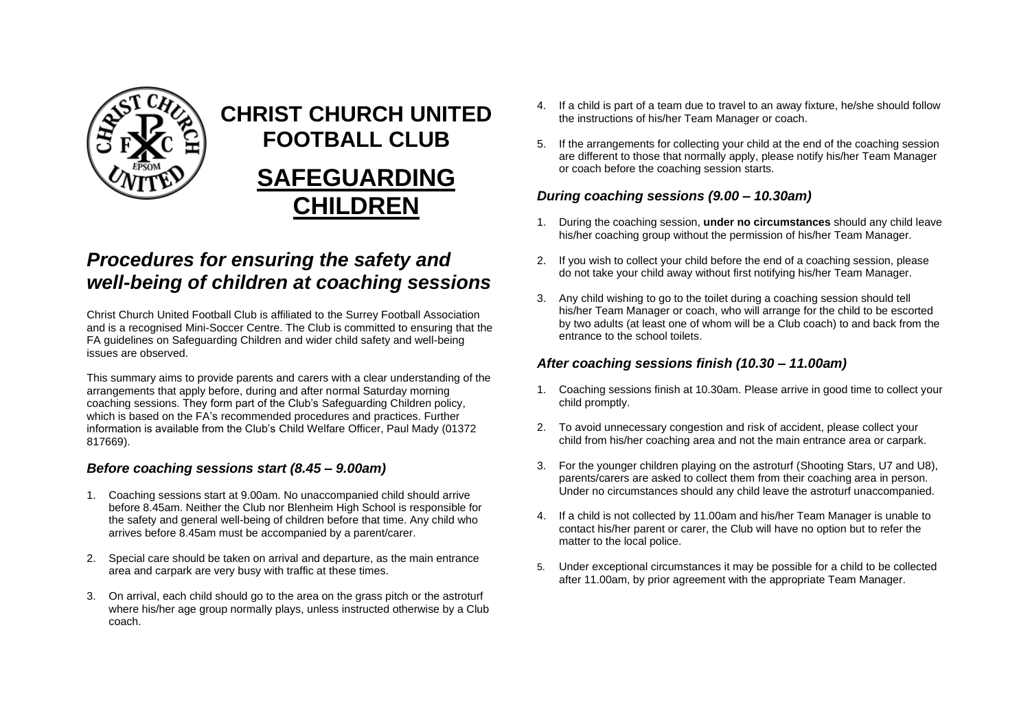

# **CHRIST CHURCH UNITED FOOTBALL CLUB SAFEGUARDING CHILDREN**

## *Procedures for ensuring the safety and well-being of children at coaching sessions*

Christ Church United Football Club is affiliated to the Surrey Football Association and is a recognised Mini-Soccer Centre. The Club is committed to ensuring that the FA guidelines on Safeguarding Children and wider child safety and well-being issues are observed.

This summary aims to provide parents and carers with a clear understanding of the arrangements that apply before, during and after normal Saturday morning coaching sessions. They form part of the Club's Safeguarding Children policy, which is based on the FA's recommended procedures and practices. Further information is available from the Club's Child Welfare Officer, Paul Mady (01372 817669).

#### *Before coaching sessions start (8.45 – 9.00am)*

- 1. Coaching sessions start at 9.00am. No unaccompanied child should arrive before 8.45am. Neither the Club nor Blenheim High School is responsible for the safety and general well-being of children before that time. Any child who arrives before 8.45am must be accompanied by a parent/carer.
- 2. Special care should be taken on arrival and departure, as the main entrance area and carpark are very busy with traffic at these times.
- 3. On arrival, each child should go to the area on the grass pitch or the astroturf where his/her age group normally plays, unless instructed otherwise by a Club coach.
- 4. If a child is part of a team due to travel to an away fixture, he/she should follow the instructions of his/her Team Manager or coach.
- 5. If the arrangements for collecting your child at the end of the coaching session are different to those that normally apply, please notify his/her Team Manager or coach before the coaching session starts.

#### *During coaching sessions (9.00 – 10.30am)*

- 1. During the coaching session, **under no circumstances** should any child leave his/her coaching group without the permission of his/her Team Manager.
- 2. If you wish to collect your child before the end of a coaching session, please do not take your child away without first notifying his/her Team Manager.
- 3. Any child wishing to go to the toilet during a coaching session should tell his/her Team Manager or coach, who will arrange for the child to be escorted by two adults (at least one of whom will be a Club coach) to and back from the entrance to the school toilets.

#### *After coaching sessions finish (10.30 – 11.00am)*

- 1. Coaching sessions finish at 10.30am. Please arrive in good time to collect your child promptly.
- 2. To avoid unnecessary congestion and risk of accident, please collect your child from his/her coaching area and not the main entrance area or carpark.
- 3. For the younger children playing on the astroturf (Shooting Stars, U7 and U8), parents/carers are asked to collect them from their coaching area in person. Under no circumstances should any child leave the astroturf unaccompanied.
- 4. If a child is not collected by 11.00am and his/her Team Manager is unable to contact his/her parent or carer, the Club will have no option but to refer the matter to the local police.
- 5. Under exceptional circumstances it may be possible for a child to be collected after 11.00am, by prior agreement with the appropriate Team Manager.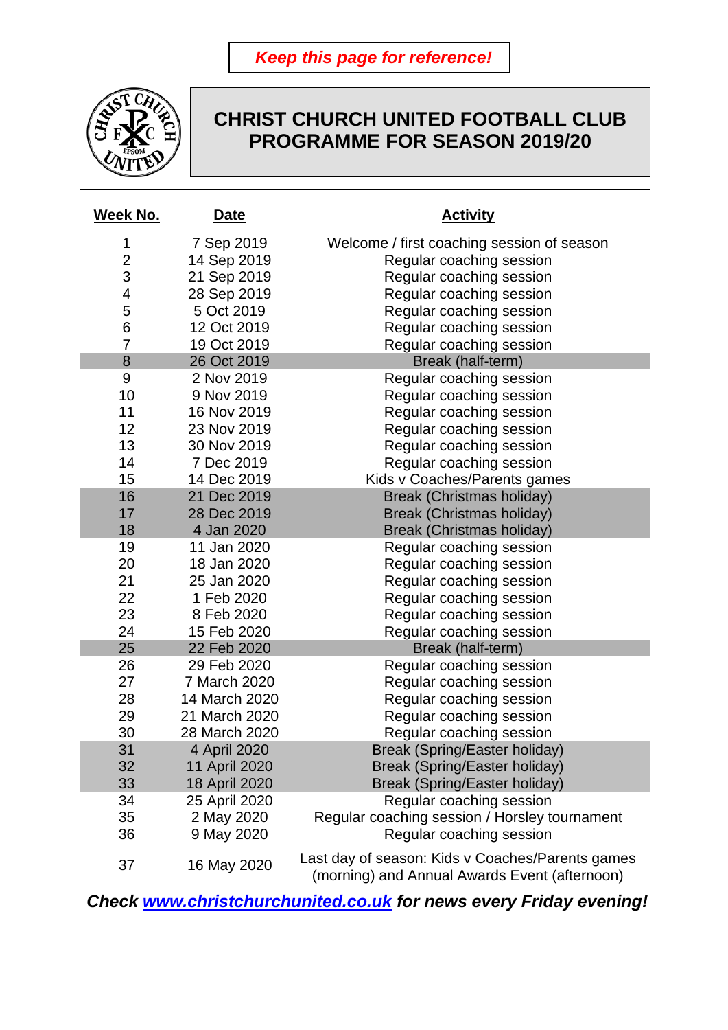*Keep this page for reference!*



## **CHRIST CHURCH UNITED FOOTBALL CLUB PROGRAMME FOR SEASON 2019/20**

| Week No.                | Date          | <b>Activity</b>                                                                                   |
|-------------------------|---------------|---------------------------------------------------------------------------------------------------|
| 1                       | 7 Sep 2019    | Welcome / first coaching session of season                                                        |
| $\overline{2}$          | 14 Sep 2019   | Regular coaching session                                                                          |
| 3                       | 21 Sep 2019   | Regular coaching session                                                                          |
| $\overline{\mathbf{4}}$ | 28 Sep 2019   | Regular coaching session                                                                          |
| 5                       | 5 Oct 2019    | Regular coaching session                                                                          |
| 6                       | 12 Oct 2019   | Regular coaching session                                                                          |
| $\overline{7}$          | 19 Oct 2019   | Regular coaching session                                                                          |
| 8                       | 26 Oct 2019   | Break (half-term)                                                                                 |
| $9\,$                   | 2 Nov 2019    | Regular coaching session                                                                          |
| 10                      | 9 Nov 2019    | Regular coaching session                                                                          |
| 11                      | 16 Nov 2019   | Regular coaching session                                                                          |
| 12                      | 23 Nov 2019   | Regular coaching session                                                                          |
| 13                      | 30 Nov 2019   | Regular coaching session                                                                          |
| 14                      | 7 Dec 2019    | Regular coaching session                                                                          |
| 15                      | 14 Dec 2019   | Kids v Coaches/Parents games                                                                      |
| 16                      | 21 Dec 2019   | Break (Christmas holiday)                                                                         |
| 17                      | 28 Dec 2019   | Break (Christmas holiday)                                                                         |
| 18                      | 4 Jan 2020    | Break (Christmas holiday)                                                                         |
| 19                      | 11 Jan 2020   | Regular coaching session                                                                          |
| 20                      | 18 Jan 2020   | Regular coaching session                                                                          |
| 21                      | 25 Jan 2020   | Regular coaching session                                                                          |
| 22                      | 1 Feb 2020    | Regular coaching session                                                                          |
| 23                      | 8 Feb 2020    | Regular coaching session                                                                          |
| 24                      | 15 Feb 2020   | Regular coaching session                                                                          |
| 25                      | 22 Feb 2020   | Break (half-term)                                                                                 |
| 26                      | 29 Feb 2020   | Regular coaching session                                                                          |
| 27                      | 7 March 2020  | Regular coaching session                                                                          |
| 28                      | 14 March 2020 | Regular coaching session                                                                          |
| 29                      | 21 March 2020 | Regular coaching session                                                                          |
| 30                      | 28 March 2020 | Regular coaching session                                                                          |
| 31                      | 4 April 2020  | <b>Break (Spring/Easter holiday)</b>                                                              |
| 32                      | 11 April 2020 | Break (Spring/Easter holiday)                                                                     |
| 33                      | 18 April 2020 | Break (Spring/Easter holiday)                                                                     |
| 34                      | 25 April 2020 | Regular coaching session                                                                          |
| 35                      | 2 May 2020    | Regular coaching session / Horsley tournament                                                     |
| 36                      | 9 May 2020    | Regular coaching session                                                                          |
| 37                      | 16 May 2020   | Last day of season: Kids v Coaches/Parents games<br>(morning) and Annual Awards Event (afternoon) |

*Check [www.christchurchunited.co.uk](http://www.christchurchunited.co.uk/) for news every Friday evening!*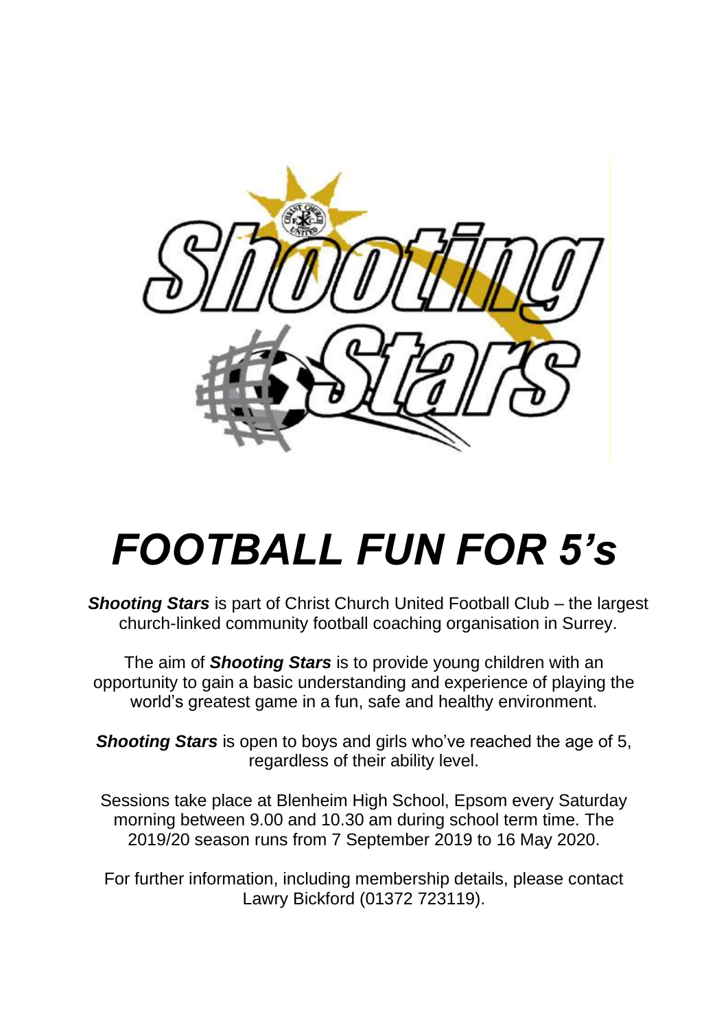

# *FOOTBALL FUN FOR 5's*

*Shooting Stars* is part of Christ Church United Football Club – the largest church-linked community football coaching organisation in Surrey.

The aim of *Shooting Stars* is to provide young children with an opportunity to gain a basic understanding and experience of playing the world's greatest game in a fun, safe and healthy environment.

*Shooting Stars* is open to boys and girls who've reached the age of 5, regardless of their ability level.

Sessions take place at Blenheim High School, Epsom every Saturday morning between 9.00 and 10.30 am during school term time. The 2019/20 season runs from 7 September 2019 to 16 May 2020.

For further information, including membership details, please contact Lawry Bickford (01372 723119).